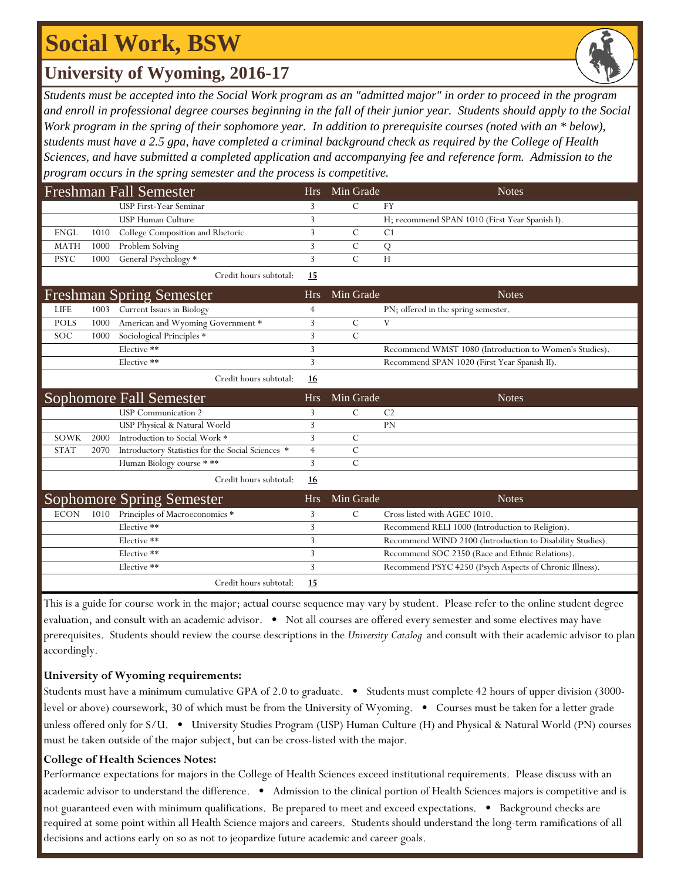## **Social Work, BSW**

### **University of Wyoming, 2016-17**

*Students must be accepted into the Social Work program as an "admitted major" in order to proceed in the program and enroll in professional degree courses beginning in the fall of their junior year. Students should apply to the Social Work program in the spring of their sophomore year. In addition to prerequisite courses (noted with an \* below), students must have a 2.5 gpa, have completed a criminal background check as required by the College of Health Sciences, and have submitted a completed application and accompanying fee and reference form. Admission to the program occurs in the spring semester and the process is competitive.*

|             |      | <b>Freshman Fall Semester</b>                     | <b>Hrs</b> | Min Grade      | <b>Notes</b>                                              |
|-------------|------|---------------------------------------------------|------------|----------------|-----------------------------------------------------------|
|             |      | <b>USP First-Year Seminar</b>                     | 3          | $\overline{C}$ | <b>FY</b>                                                 |
|             |      | <b>USP Human Culture</b>                          | 3          |                | H; recommend SPAN 1010 (First Year Spanish I).            |
| <b>ENGL</b> | 1010 | College Composition and Rhetoric                  | 3          | $\mathcal{C}$  | C <sub>1</sub>                                            |
| <b>MATH</b> | 1000 | Problem Solving                                   | 3          | $\mathcal{C}$  | Q                                                         |
| <b>PSYC</b> | 1000 | General Psychology *                              | 3          | $\mathcal{C}$  | H                                                         |
|             |      | Credit hours subtotal:                            | 15         |                |                                                           |
|             |      | <b>Freshman Spring Semester</b>                   | <b>Hrs</b> | Min Grade      | <b>Notes</b>                                              |
| <b>LIFE</b> | 1003 | Current Issues in Biology                         | 4          |                | PN; offered in the spring semester.                       |
| <b>POLS</b> | 1000 | American and Wyoming Government *                 | 3          | $\mathcal{C}$  | V                                                         |
| SOC         | 1000 | Sociological Principles *                         | 3          | $\mathcal{C}$  |                                                           |
|             |      | Elective **                                       | 3          |                | Recommend WMST 1080 (Introduction to Women's Studies).    |
|             |      | Elective **                                       | 3          |                | Recommend SPAN 1020 (First Year Spanish II).              |
|             |      | Credit hours subtotal:                            | 16         |                |                                                           |
|             |      | <b>Sophomore Fall Semester</b>                    | <b>Hrs</b> | Min Grade      | <b>Notes</b>                                              |
|             |      | <b>USP</b> Communication 2                        | 3          | $\mathcal{C}$  | C <sub>2</sub>                                            |
|             |      | USP Physical & Natural World                      | 3          |                | PN                                                        |
| SOWK        | 2000 | Introduction to Social Work *                     | 3          | $\mathcal{C}$  |                                                           |
| <b>STAT</b> | 2070 | Introductory Statistics for the Social Sciences * | 4          | C              |                                                           |
|             |      | Human Biology course ***                          | 3          | $\overline{C}$ |                                                           |
|             |      | Credit hours subtotal:                            | 16         |                |                                                           |
|             |      | <b>Sophomore Spring Semester</b>                  | <b>Hrs</b> | Min Grade      | <b>Notes</b>                                              |
| <b>ECON</b> | 1010 | Principles of Macroeconomics *                    | 3          | $\mathcal{C}$  | Cross listed with AGEC 1010.                              |
|             |      | Elective **                                       | 3          |                | Recommend RELI 1000 (Introduction to Religion).           |
|             |      | Elective **                                       | 3          |                | Recommend WIND 2100 (Introduction to Disability Studies). |
|             |      | Elective **                                       | 3          |                | Recommend SOC 2350 (Race and Ethnic Relations).           |
|             |      | Elective **                                       | 3          |                | Recommend PSYC 4250 (Psych Aspects of Chronic Illness).   |
|             |      | Credit hours subtotal:                            | 15         |                |                                                           |

This is a guide for course work in the major; actual course sequence may vary by student. Please refer to the online student degree evaluation, and consult with an academic advisor. • Not all courses are offered every semester and some electives may have prerequisites. Students should review the course descriptions in the *University Catalog* and consult with their academic advisor to plan accordingly.

#### **University of Wyoming requirements:**

Students must have a minimum cumulative GPA of 2.0 to graduate.  $\bullet$  Students must complete 42 hours of upper division (3000level or above) coursework, 30 of which must be from the University of Wyoming. • Courses must be taken for a letter grade unless offered only for S/U. • University Studies Program (USP) Human Culture (H) and Physical & Natural World (PN) courses must be taken outside of the major subject, but can be cross-listed with the major.

#### **College of Health Sciences Notes:**

Performance expectations for majors in the College of Health Sciences exceed institutional requirements. Please discuss with an academic advisor to understand the difference. • Admission to the clinical portion of Health Sciences majors is competitive and is not guaranteed even with minimum qualifications. Be prepared to meet and exceed expectations. • Background checks are required at some point within all Health Science majors and careers. Students should understand the long-term ramifications of all decisions and actions early on so as not to jeopardize future academic and career goals.